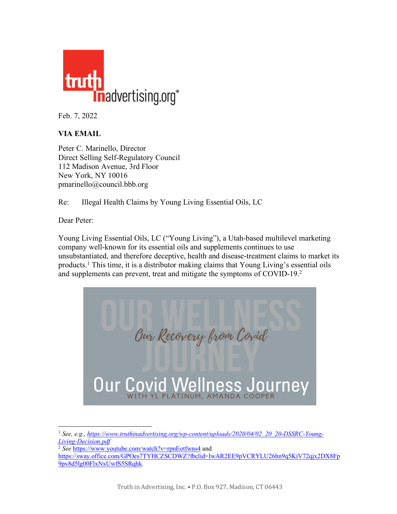

Feb. 7, 2022

## **VIA EMAIL**

Peter C. Marinello, Director Direct Selling Self-Regulatory Council 112 Madison Avenue, 3rd Floor New York, NY 10016 pmarinello@council.bbb.org

Re: Illegal Health Claims by Young Living Essential Oils, LC

Dear Peter:

Young Living Essential Oils, LC ("Young Living"), a Utah-based multilevel marketing company well-known for its essential oils and supplements continues to use unsubstantiated, and therefore deceptive, health and disease-treatment claims to market its products. <sup>1</sup> This time, it is a distributor making claims that Young Living's essential oils and supplements can prevent, treat and mitigate the symptoms of COVID-19.<sup>2</sup>



<sup>&</sup>lt;sup>1</sup> See, e.g., https://www.truthinadvertising.org/wp-content/uploads/2020/04/02 20 20-DSSRC-Young-*Living-Decision.pdf*

<sup>&</sup>lt;sup>2</sup> See https://www.youtube.com/watch?v=rpnEotfwns4 and

https://sway.office.com/GPOes7TYHCZSCDWZ?fbclid=IwAR2EE9pVCRYLU26hn9a5KiV72qix2DX8Fn 9pv8d5lg00FlxNxUwfS5SRqhk.